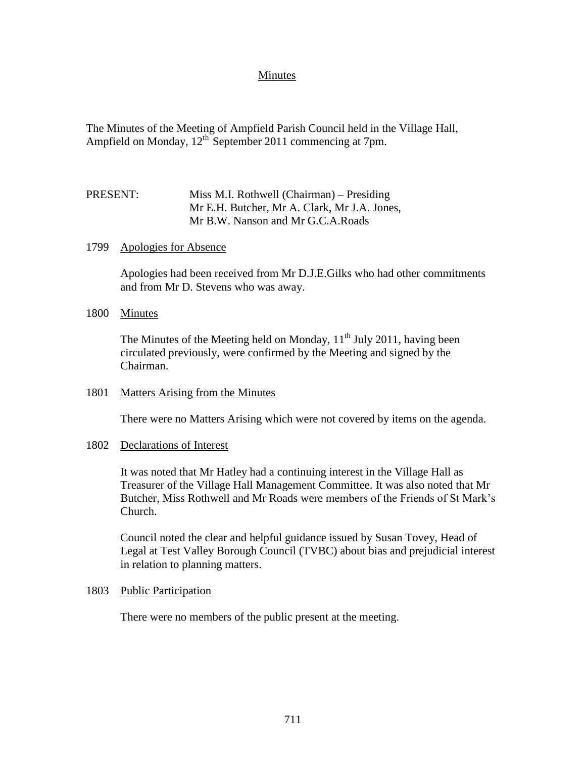## Minutes

The Minutes of the Meeting of Ampfield Parish Council held in the Village Hall, Ampfield on Monday,  $12^{th}$  September 2011 commencing at 7pm.

# PRESENT: Miss M.I. Rothwell (Chairman) – Presiding Mr E.H. Butcher, Mr A. Clark, Mr J.A. Jones, Mr B.W. Nanson and Mr G.C.A.Roads

## 1799 Apologies for Absence

Apologies had been received from Mr D.J.E.Gilks who had other commitments and from Mr D. Stevens who was away.

#### 1800 Minutes

The Minutes of the Meeting held on Monday,  $11<sup>th</sup>$  July 2011, having been circulated previously, were confirmed by the Meeting and signed by the Chairman.

## 1801 Matters Arising from the Minutes

There were no Matters Arising which were not covered by items on the agenda.

## 1802 Declarations of Interest

It was noted that Mr Hatley had a continuing interest in the Village Hall as Treasurer of the Village Hall Management Committee. It was also noted that Mr Butcher, Miss Rothwell and Mr Roads were members of the Friends of St Mark's Church.

Council noted the clear and helpful guidance issued by Susan Tovey, Head of Legal at Test Valley Borough Council (TVBC) about bias and prejudicial interest in relation to planning matters.

## 1803 Public Participation

There were no members of the public present at the meeting.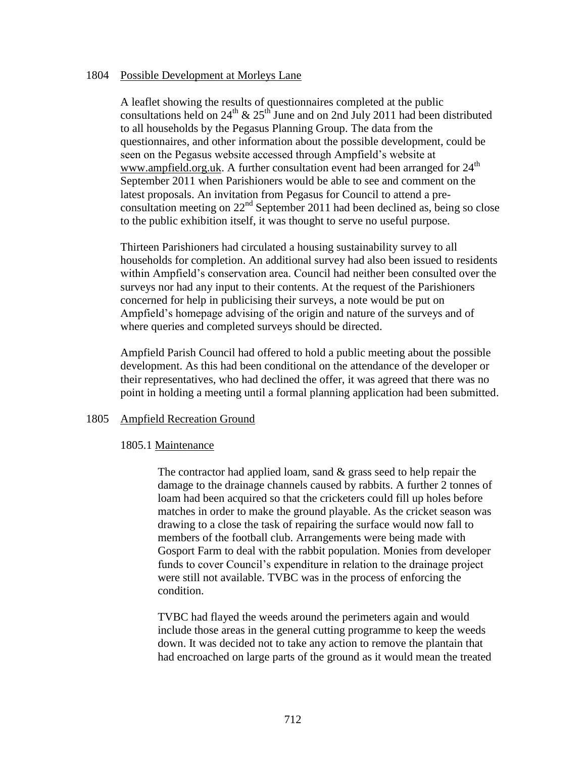### 1804 Possible Development at Morleys Lane

A leaflet showing the results of questionnaires completed at the public consultations held on 24<sup>th</sup> & 25<sup>th</sup> June and on 2nd July 2011 had been distributed to all households by the Pegasus Planning Group. The data from the questionnaires, and other information about the possible development, could be seen on the Pegasus website accessed through Ampfield's website at [www.ampfield.org.uk.](http://www.ampfield.org.uk/) A further consultation event had been arranged for  $24<sup>th</sup>$ September 2011 when Parishioners would be able to see and comment on the latest proposals. An invitation from Pegasus for Council to attend a preconsultation meeting on  $22<sup>nd</sup>$  September 2011 had been declined as, being so close to the public exhibition itself, it was thought to serve no useful purpose.

Thirteen Parishioners had circulated a housing sustainability survey to all households for completion. An additional survey had also been issued to residents within Ampfield's conservation area. Council had neither been consulted over the surveys nor had any input to their contents. At the request of the Parishioners concerned for help in publicising their surveys, a note would be put on Ampfield's homepage advising of the origin and nature of the surveys and of where queries and completed surveys should be directed.

Ampfield Parish Council had offered to hold a public meeting about the possible development. As this had been conditional on the attendance of the developer or their representatives, who had declined the offer, it was agreed that there was no point in holding a meeting until a formal planning application had been submitted.

## 1805 Ampfield Recreation Ground

#### 1805.1 Maintenance

The contractor had applied loam, sand & grass seed to help repair the damage to the drainage channels caused by rabbits. A further 2 tonnes of loam had been acquired so that the cricketers could fill up holes before matches in order to make the ground playable. As the cricket season was drawing to a close the task of repairing the surface would now fall to members of the football club. Arrangements were being made with Gosport Farm to deal with the rabbit population. Monies from developer funds to cover Council's expenditure in relation to the drainage project were still not available. TVBC was in the process of enforcing the condition.

TVBC had flayed the weeds around the perimeters again and would include those areas in the general cutting programme to keep the weeds down. It was decided not to take any action to remove the plantain that had encroached on large parts of the ground as it would mean the treated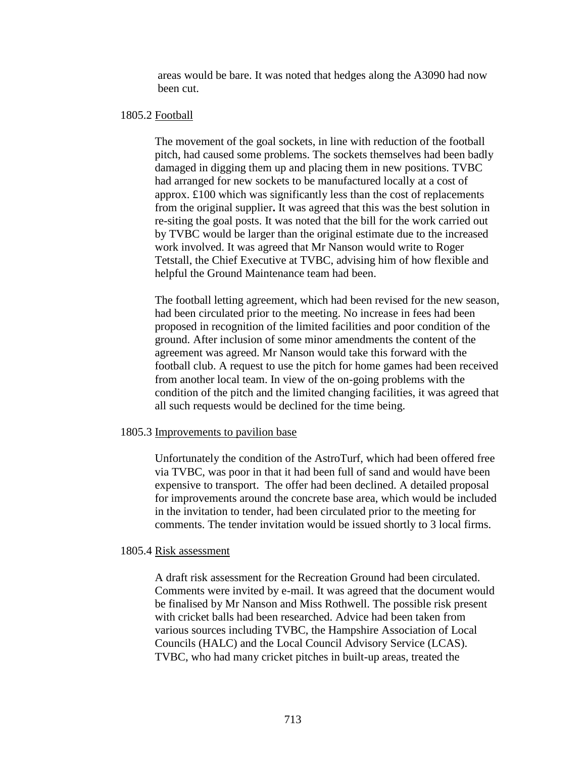areas would be bare. It was noted that hedges along the A3090 had now been cut.

#### 1805.2 Football

The movement of the goal sockets, in line with reduction of the football pitch, had caused some problems. The sockets themselves had been badly damaged in digging them up and placing them in new positions. TVBC had arranged for new sockets to be manufactured locally at a cost of approx. £100 which was significantly less than the cost of replacements from the original supplier**.** It was agreed that this was the best solution in re-siting the goal posts. It was noted that the bill for the work carried out by TVBC would be larger than the original estimate due to the increased work involved. It was agreed that Mr Nanson would write to Roger Tetstall, the Chief Executive at TVBC, advising him of how flexible and helpful the Ground Maintenance team had been.

The football letting agreement, which had been revised for the new season, had been circulated prior to the meeting. No increase in fees had been proposed in recognition of the limited facilities and poor condition of the ground. After inclusion of some minor amendments the content of the agreement was agreed. Mr Nanson would take this forward with the football club. A request to use the pitch for home games had been received from another local team. In view of the on-going problems with the condition of the pitch and the limited changing facilities, it was agreed that all such requests would be declined for the time being.

#### 1805.3 Improvements to pavilion base

Unfortunately the condition of the AstroTurf, which had been offered free via TVBC, was poor in that it had been full of sand and would have been expensive to transport. The offer had been declined. A detailed proposal for improvements around the concrete base area, which would be included in the invitation to tender, had been circulated prior to the meeting for comments. The tender invitation would be issued shortly to 3 local firms.

#### 1805.4 Risk assessment

A draft risk assessment for the Recreation Ground had been circulated. Comments were invited by e-mail. It was agreed that the document would be finalised by Mr Nanson and Miss Rothwell. The possible risk present with cricket balls had been researched. Advice had been taken from various sources including TVBC, the Hampshire Association of Local Councils (HALC) and the Local Council Advisory Service (LCAS). TVBC, who had many cricket pitches in built-up areas, treated the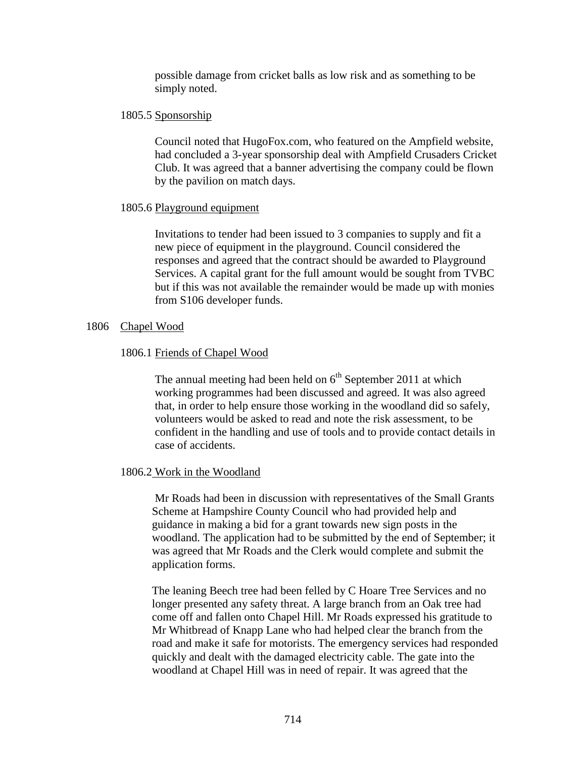possible damage from cricket balls as low risk and as something to be simply noted.

# 1805.5 Sponsorship

Council noted that HugoFox.com, who featured on the Ampfield website, had concluded a 3-year sponsorship deal with Ampfield Crusaders Cricket Club. It was agreed that a banner advertising the company could be flown by the pavilion on match days.

# 1805.6 Playground equipment

Invitations to tender had been issued to 3 companies to supply and fit a new piece of equipment in the playground. Council considered the responses and agreed that the contract should be awarded to Playground Services. A capital grant for the full amount would be sought from TVBC but if this was not available the remainder would be made up with monies from S106 developer funds.

# 1806 Chapel Wood

# 1806.1 Friends of Chapel Wood

The annual meeting had been held on  $6<sup>th</sup>$  September 2011 at which working programmes had been discussed and agreed. It was also agreed that, in order to help ensure those working in the woodland did so safely, volunteers would be asked to read and note the risk assessment, to be confident in the handling and use of tools and to provide contact details in case of accidents.

# 1806.2 Work in the Woodland

Mr Roads had been in discussion with representatives of the Small Grants Scheme at Hampshire County Council who had provided help and guidance in making a bid for a grant towards new sign posts in the woodland. The application had to be submitted by the end of September; it was agreed that Mr Roads and the Clerk would complete and submit the application forms.

The leaning Beech tree had been felled by C Hoare Tree Services and no longer presented any safety threat. A large branch from an Oak tree had come off and fallen onto Chapel Hill. Mr Roads expressed his gratitude to Mr Whitbread of Knapp Lane who had helped clear the branch from the road and make it safe for motorists. The emergency services had responded quickly and dealt with the damaged electricity cable. The gate into the woodland at Chapel Hill was in need of repair. It was agreed that the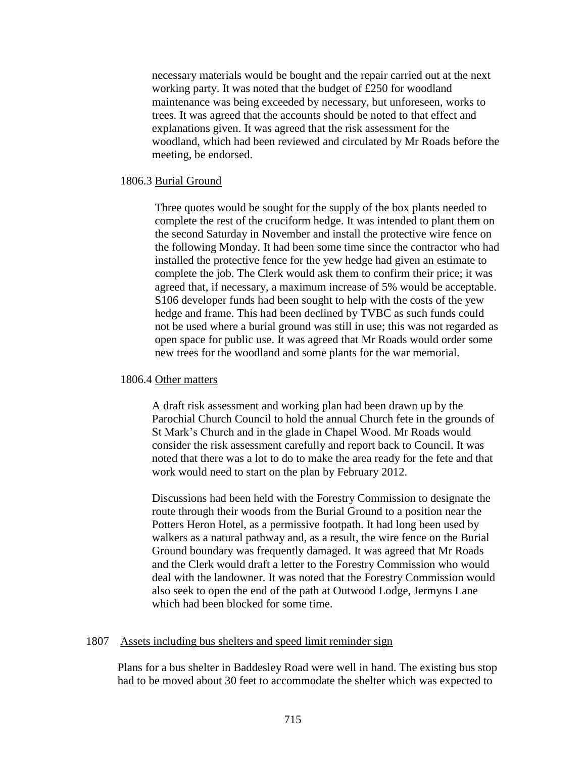necessary materials would be bought and the repair carried out at the next working party. It was noted that the budget of £250 for woodland maintenance was being exceeded by necessary, but unforeseen, works to trees. It was agreed that the accounts should be noted to that effect and explanations given. It was agreed that the risk assessment for the woodland, which had been reviewed and circulated by Mr Roads before the meeting, be endorsed.

## 1806.3 Burial Ground

Three quotes would be sought for the supply of the box plants needed to complete the rest of the cruciform hedge. It was intended to plant them on the second Saturday in November and install the protective wire fence on the following Monday. It had been some time since the contractor who had installed the protective fence for the yew hedge had given an estimate to complete the job. The Clerk would ask them to confirm their price; it was agreed that, if necessary, a maximum increase of 5% would be acceptable. S106 developer funds had been sought to help with the costs of the yew hedge and frame. This had been declined by TVBC as such funds could not be used where a burial ground was still in use; this was not regarded as open space for public use. It was agreed that Mr Roads would order some new trees for the woodland and some plants for the war memorial.

## 1806.4 Other matters

A draft risk assessment and working plan had been drawn up by the Parochial Church Council to hold the annual Church fete in the grounds of St Mark's Church and in the glade in Chapel Wood. Mr Roads would consider the risk assessment carefully and report back to Council. It was noted that there was a lot to do to make the area ready for the fete and that work would need to start on the plan by February 2012.

Discussions had been held with the Forestry Commission to designate the route through their woods from the Burial Ground to a position near the Potters Heron Hotel, as a permissive footpath. It had long been used by walkers as a natural pathway and, as a result, the wire fence on the Burial Ground boundary was frequently damaged. It was agreed that Mr Roads and the Clerk would draft a letter to the Forestry Commission who would deal with the landowner. It was noted that the Forestry Commission would also seek to open the end of the path at Outwood Lodge, Jermyns Lane which had been blocked for some time.

## 1807 Assets including bus shelters and speed limit reminder sign

Plans for a bus shelter in Baddesley Road were well in hand. The existing bus stop had to be moved about 30 feet to accommodate the shelter which was expected to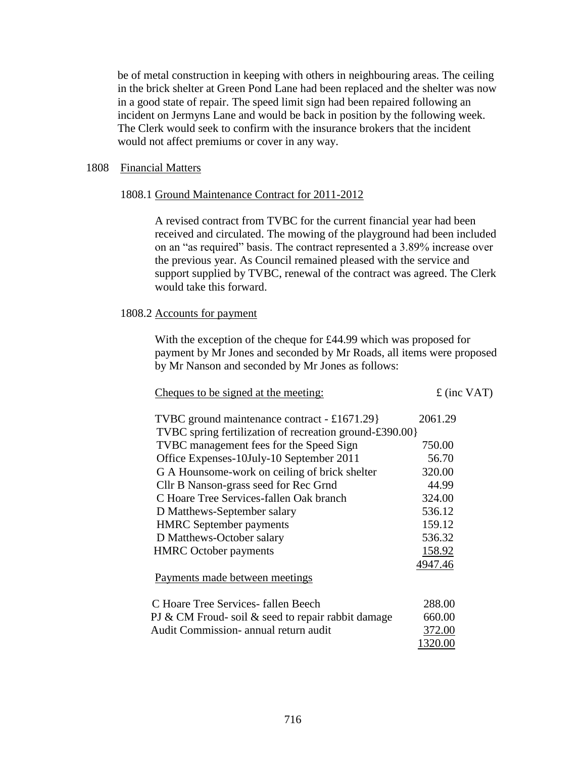be of metal construction in keeping with others in neighbouring areas. The ceiling in the brick shelter at Green Pond Lane had been replaced and the shelter was now in a good state of repair. The speed limit sign had been repaired following an incident on Jermyns Lane and would be back in position by the following week. The Clerk would seek to confirm with the insurance brokers that the incident would not affect premiums or cover in any way.

## 1808 Financial Matters

## 1808.1 Ground Maintenance Contract for 2011-2012

A revised contract from TVBC for the current financial year had been received and circulated. The mowing of the playground had been included on an "as required" basis. The contract represented a 3.89% increase over the previous year. As Council remained pleased with the service and support supplied by TVBC, renewal of the contract was agreed. The Clerk would take this forward.

## 1808.2 Accounts for payment

With the exception of the cheque for £44.99 which was proposed for payment by Mr Jones and seconded by Mr Roads, all items were proposed by Mr Nanson and seconded by Mr Jones as follows:

| Cheques to be signed at the meeting:                    | $f$ (inc VAT) |
|---------------------------------------------------------|---------------|
| TVBC ground maintenance contract $-$ £1671.29}          | 2061.29       |
| TVBC spring fertilization of recreation ground-£390.00} |               |
| TVBC management fees for the Speed Sign                 | 750.00        |
| Office Expenses-10July-10 September 2011                | 56.70         |
| G A Hounsome-work on ceiling of brick shelter           | 320.00        |
| Cllr B Nanson-grass seed for Rec Grnd                   | 44.99         |
| C Hoare Tree Services-fallen Oak branch                 | 324.00        |
| D Matthews-September salary                             | 536.12        |
| <b>HMRC</b> September payments                          | 159.12        |
| D Matthews-October salary                               | 536.32        |
| <b>HMRC</b> October payments                            | 158.92        |
|                                                         | 4947.46       |
| Payments made between meetings                          |               |
| C Hoare Tree Services- fallen Beech                     | 288.00        |
| PJ & CM Froud-soil & seed to repair rabbit damage       | 660.00        |
| Audit Commission- annual return audit                   | 372.00        |
|                                                         | 1320.00       |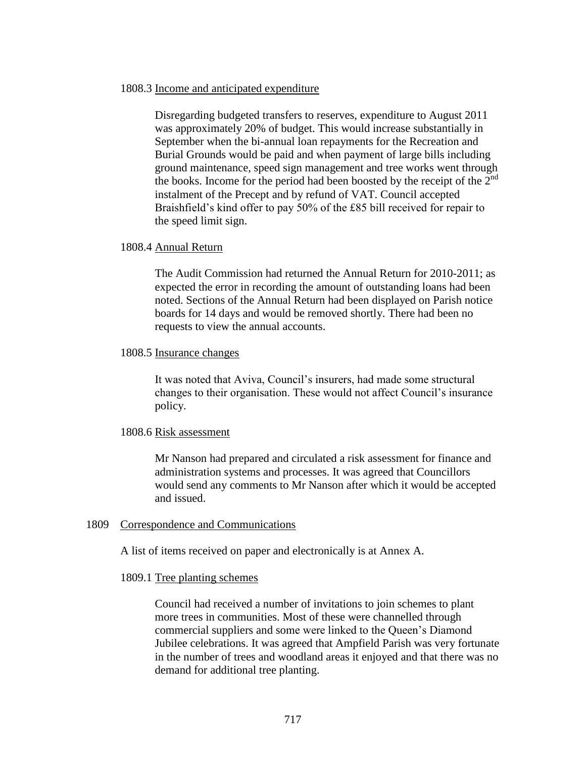## 1808.3 Income and anticipated expenditure

Disregarding budgeted transfers to reserves, expenditure to August 2011 was approximately 20% of budget. This would increase substantially in September when the bi-annual loan repayments for the Recreation and Burial Grounds would be paid and when payment of large bills including ground maintenance, speed sign management and tree works went through the books. Income for the period had been boosted by the receipt of the  $2<sup>nd</sup>$ instalment of the Precept and by refund of VAT. Council accepted Braishfield's kind offer to pay 50% of the £85 bill received for repair to the speed limit sign.

### 1808.4 Annual Return

The Audit Commission had returned the Annual Return for 2010-2011; as expected the error in recording the amount of outstanding loans had been noted. Sections of the Annual Return had been displayed on Parish notice boards for 14 days and would be removed shortly. There had been no requests to view the annual accounts.

### 1808.5 Insurance changes

It was noted that Aviva, Council's insurers, had made some structural changes to their organisation. These would not affect Council's insurance policy.

#### 1808.6 Risk assessment

Mr Nanson had prepared and circulated a risk assessment for finance and administration systems and processes. It was agreed that Councillors would send any comments to Mr Nanson after which it would be accepted and issued.

## 1809 Correspondence and Communications

A list of items received on paper and electronically is at Annex A.

## 1809.1 Tree planting schemes

Council had received a number of invitations to join schemes to plant more trees in communities. Most of these were channelled through commercial suppliers and some were linked to the Queen's Diamond Jubilee celebrations. It was agreed that Ampfield Parish was very fortunate in the number of trees and woodland areas it enjoyed and that there was no demand for additional tree planting.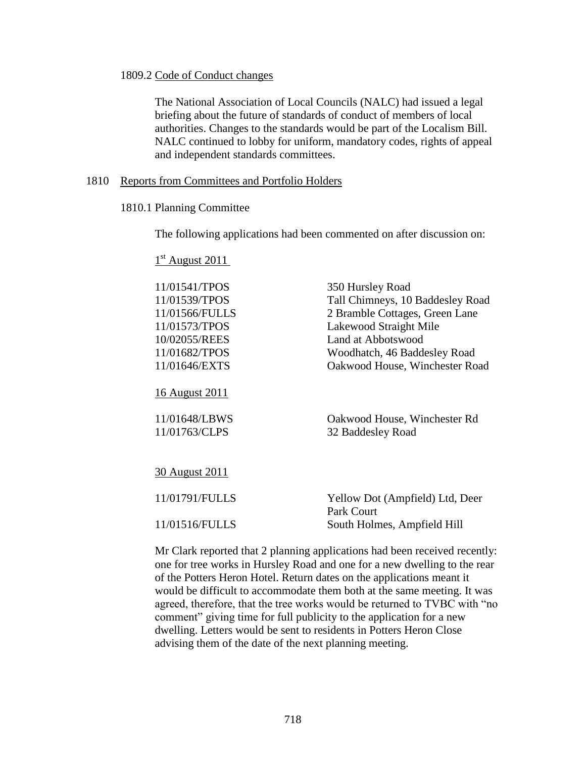## 1809.2 Code of Conduct changes

The National Association of Local Councils (NALC) had issued a legal briefing about the future of standards of conduct of members of local authorities. Changes to the standards would be part of the Localism Bill. NALC continued to lobby for uniform, mandatory codes, rights of appeal and independent standards committees.

## 1810 Reports from Committees and Portfolio Holders

## 1810.1 Planning Committee

The following applications had been commented on after discussion on:

 $1<sup>st</sup>$  August 2011

| 11/01541/TPOS<br>11/01539/TPOS<br>11/01566/FULLS<br>11/01573/TPOS<br>10/02055/REES | 350 Hursley Road<br>Tall Chimneys, 10 Baddesley Road<br>2 Bramble Cottages, Green Lane<br>Lakewood Straight Mile<br>Land at Abbotswood |
|------------------------------------------------------------------------------------|----------------------------------------------------------------------------------------------------------------------------------------|
| 11/01682/TPOS                                                                      | Woodhatch, 46 Baddesley Road                                                                                                           |
| 11/01646/EXTS<br>16 August 2011                                                    | Oakwood House, Winchester Road                                                                                                         |
| 11/01648/LBWS                                                                      | Oakwood House, Winchester Rd                                                                                                           |
| 11/01763/CLPS                                                                      | 32 Baddesley Road                                                                                                                      |
| 30 August 2011                                                                     |                                                                                                                                        |
| 11/01791/FULLS                                                                     | Yellow Dot (Ampfield) Ltd, Deer<br>Park Court                                                                                          |
| 11/01516/FULLS                                                                     | South Holmes, Ampfield Hill                                                                                                            |

Mr Clark reported that 2 planning applications had been received recently: one for tree works in Hursley Road and one for a new dwelling to the rear of the Potters Heron Hotel. Return dates on the applications meant it would be difficult to accommodate them both at the same meeting. It was agreed, therefore, that the tree works would be returned to TVBC with "no comment" giving time for full publicity to the application for a new dwelling. Letters would be sent to residents in Potters Heron Close advising them of the date of the next planning meeting.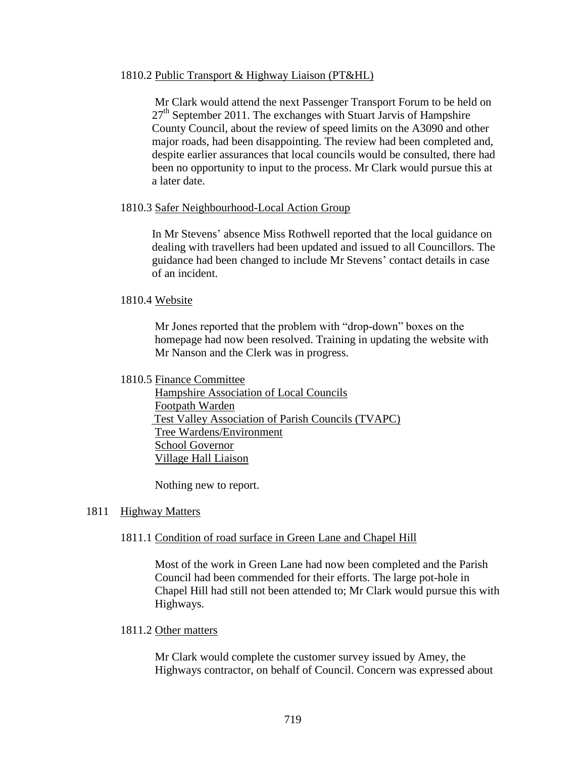## 1810.2 Public Transport & Highway Liaison (PT&HL)

Mr Clark would attend the next Passenger Transport Forum to be held on  $27<sup>th</sup>$  September 2011. The exchanges with Stuart Jarvis of Hampshire County Council, about the review of speed limits on the A3090 and other major roads, had been disappointing. The review had been completed and, despite earlier assurances that local councils would be consulted, there had been no opportunity to input to the process. Mr Clark would pursue this at a later date.

## 1810.3 Safer Neighbourhood-Local Action Group

In Mr Stevens' absence Miss Rothwell reported that the local guidance on dealing with travellers had been updated and issued to all Councillors. The guidance had been changed to include Mr Stevens' contact details in case of an incident.

## 1810.4 Website

Mr Jones reported that the problem with "drop-down" boxes on the homepage had now been resolved. Training in updating the website with Mr Nanson and the Clerk was in progress.

## 1810.5 Finance Committee

Hampshire Association of Local Councils Footpath Warden Test Valley Association of Parish Councils (TVAPC) Tree Wardens/Environment School Governor Village Hall Liaison

Nothing new to report.

## 1811 Highway Matters

## 1811.1 Condition of road surface in Green Lane and Chapel Hill

Most of the work in Green Lane had now been completed and the Parish Council had been commended for their efforts. The large pot-hole in Chapel Hill had still not been attended to; Mr Clark would pursue this with Highways.

## 1811.2 Other matters

Mr Clark would complete the customer survey issued by Amey, the Highways contractor, on behalf of Council. Concern was expressed about